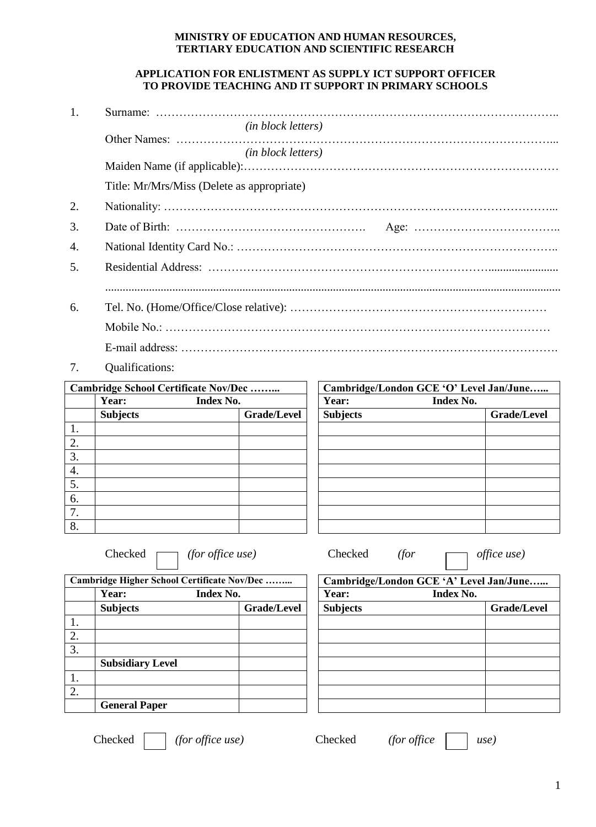## **MINISTRY OF EDUCATION AND HUMAN RESOURCES, TERTIARY EDUCATION AND SCIENTIFIC RESEARCH**

## **APPLICATION FOR ENLISTMENT AS SUPPLY ICT SUPPORT OFFICER TO PROVIDE TEACHING AND IT SUPPORT IN PRIMARY SCHOOLS**

| 1. |                                            |
|----|--------------------------------------------|
|    | ( <i>in block letters</i> )                |
|    |                                            |
|    | ( <i>in block letters</i> )                |
|    |                                            |
|    | Title: Mr/Mrs/Miss (Delete as appropriate) |
| 2. |                                            |
| 3. |                                            |
| 4. |                                            |
| 5. |                                            |
|    |                                            |
| 6. |                                            |
|    |                                            |
|    |                                            |

7. Qualifications:

| Cambridge School Certificate Nov/Dec |                    |  |                    | Cambridge/London GCE 'O' Lev |           |  |
|--------------------------------------|--------------------|--|--------------------|------------------------------|-----------|--|
|                                      | Year:<br>Index No. |  |                    | Year:                        | Index No. |  |
|                                      | <b>Subjects</b>    |  | <b>Grade/Level</b> | <b>Subjects</b>              |           |  |
|                                      |                    |  |                    |                              |           |  |
| 2.                                   |                    |  |                    |                              |           |  |
| 3.                                   |                    |  |                    |                              |           |  |
| 4.                                   |                    |  |                    |                              |           |  |
| 5.                                   |                    |  |                    |                              |           |  |
| 6.                                   |                    |  |                    |                              |           |  |
| 7.                                   |                    |  |                    |                              |           |  |
| 8.                                   |                    |  |                    |                              |           |  |

| <b>Cambridge School Certificate Nov/Dec</b> |                           |                    | Cambridge/London GCE 'O' Level Jan/June |                    |  |
|---------------------------------------------|---------------------------|--------------------|-----------------------------------------|--------------------|--|
|                                             | Year:<br><b>Index No.</b> |                    | Index No.<br>Year:                      |                    |  |
|                                             | <b>Subjects</b>           | <b>Grade/Level</b> | <b>Subjects</b>                         | <b>Grade/Level</b> |  |
| 1.                                          |                           |                    |                                         |                    |  |
| 2.                                          |                           |                    |                                         |                    |  |
| $\overline{3}$ .                            |                           |                    |                                         |                    |  |
| 4.                                          |                           |                    |                                         |                    |  |
| 5.                                          |                           |                    |                                         |                    |  |
| 6.                                          |                           |                    |                                         |                    |  |
| 7.                                          |                           |                    |                                         |                    |  |
| 8.                                          |                           |                    |                                         |                    |  |

Checked *(for office use)* Checked *(for office use)*

| Cambridge Higher School Certificate Nov/Dec |                         |                    | Cambridge/London GCE 'A' Level Jan/June |             |  |
|---------------------------------------------|-------------------------|--------------------|-----------------------------------------|-------------|--|
|                                             | Year:                   | <b>Index No.</b>   | Year:<br>Index No.                      |             |  |
|                                             | <b>Subjects</b>         | <b>Grade/Level</b> | <b>Subjects</b>                         | Grade/Level |  |
| 1.                                          |                         |                    |                                         |             |  |
| 2.                                          |                         |                    |                                         |             |  |
| 3.                                          |                         |                    |                                         |             |  |
|                                             | <b>Subsidiary Level</b> |                    |                                         |             |  |
| 1.                                          |                         |                    |                                         |             |  |
| 2.                                          |                         |                    |                                         |             |  |
|                                             | <b>General Paper</b>    |                    |                                         |             |  |
|                                             |                         |                    |                                         |             |  |

| idge Higher School Certificate Nov/Dec |                    | Cambridge/London GCE 'A' Level Jan/June |  |                    |
|----------------------------------------|--------------------|-----------------------------------------|--|--------------------|
| <b>Year:</b><br><b>Index No.</b>       |                    | Year:<br><b>Index No.</b>               |  |                    |
| <b>Subjects</b>                        | <b>Grade/Level</b> | <b>Subjects</b>                         |  | <b>Grade/Level</b> |
|                                        |                    |                                         |  |                    |
|                                        |                    |                                         |  |                    |
|                                        |                    |                                         |  |                    |
| <b>Subsidiary Level</b>                |                    |                                         |  |                    |
|                                        |                    |                                         |  |                    |
|                                        |                    |                                         |  |                    |
| <b>General Paper</b>                   |                    |                                         |  |                    |
|                                        |                    |                                         |  |                    |

Checked *(for office use)* Checked *(for office use)*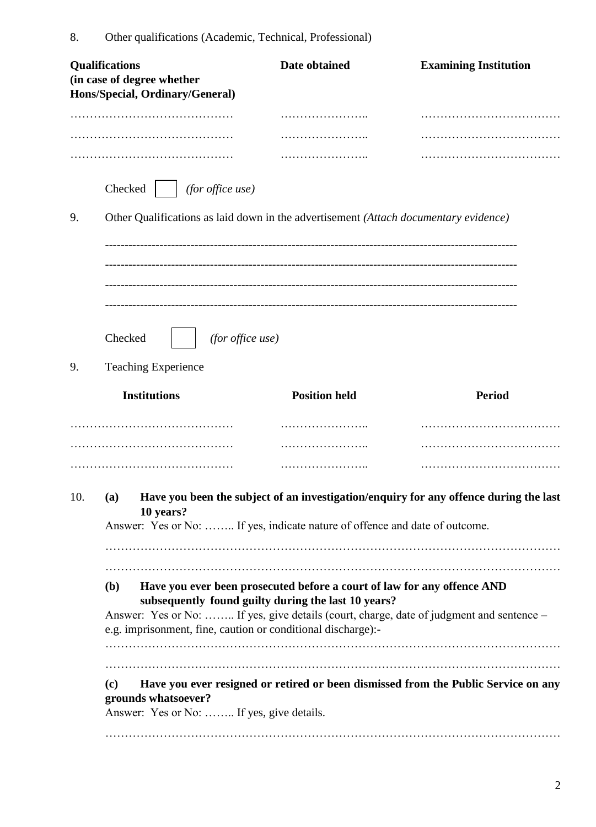|     | Qualifications<br>(in case of degree whether<br>Hons/Special, Ordinary/General)                                                                                                                                                                                                                          | Date obtained        | <b>Examining Institution</b> |  |  |  |
|-----|----------------------------------------------------------------------------------------------------------------------------------------------------------------------------------------------------------------------------------------------------------------------------------------------------------|----------------------|------------------------------|--|--|--|
|     |                                                                                                                                                                                                                                                                                                          | .                    |                              |  |  |  |
|     |                                                                                                                                                                                                                                                                                                          |                      |                              |  |  |  |
|     |                                                                                                                                                                                                                                                                                                          |                      |                              |  |  |  |
|     | Checked<br>(for office use)                                                                                                                                                                                                                                                                              |                      |                              |  |  |  |
| 9.  | Other Qualifications as laid down in the advertisement (Attach documentary evidence)                                                                                                                                                                                                                     |                      |                              |  |  |  |
| 9.  | Checked<br>(for office use)<br><b>Teaching Experience</b>                                                                                                                                                                                                                                                |                      |                              |  |  |  |
|     | <b>Institutions</b>                                                                                                                                                                                                                                                                                      | <b>Position held</b> | <b>Period</b>                |  |  |  |
|     |                                                                                                                                                                                                                                                                                                          | .                    |                              |  |  |  |
|     |                                                                                                                                                                                                                                                                                                          | .                    |                              |  |  |  |
| 10. | Have you been the subject of an investigation/enquiry for any offence during the last<br>(a)<br>10 years?<br>Answer: Yes or No:  If yes, indicate nature of offence and date of outcome.                                                                                                                 |                      |                              |  |  |  |
|     | Have you ever been prosecuted before a court of law for any offence AND<br><b>(b)</b><br>subsequently found guilty during the last 10 years?<br>Answer: Yes or No:  If yes, give details (court, charge, date of judgment and sentence –<br>e.g. imprisonment, fine, caution or conditional discharge):- |                      |                              |  |  |  |
|     | Have you ever resigned or retired or been dismissed from the Public Service on any<br>(c)<br>grounds whatsoever?<br>Answer: Yes or No:  If yes, give details.                                                                                                                                            |                      |                              |  |  |  |